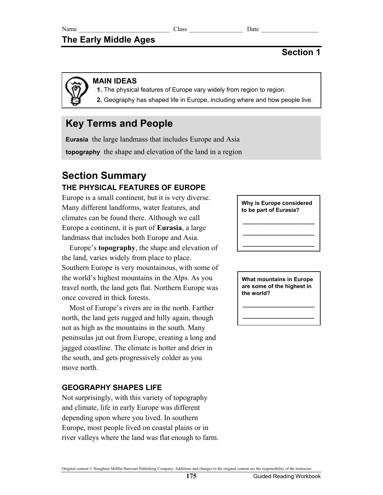# **The Early Middle Ages**

# **Section 1**

## **MAIN IDEAS**

 **1.** The physical features of Europe vary widely from region to region.

 **2.** Geography has shaped life in Europe, including where and how people live.

# **Key Terms and People**

**Eurasia** the large landmass that includes Europe and Asia **topography** the shape and elevation of the land in a region

# **Section Summary THE PHYSICAL FEATURES OF EUROPE**

Europe is a small continent, but it is very diverse. Many different landforms, water features, and climates can be found there. Although we call Europe a continent, it is part of **Eurasia**, a large landmass that includes both Europe and Asia.

Europe's **topography**, the shape and elevation of the land, varies widely from place to place. Southern Europe is very mountainous, with some of the world's highest mountains in the Alps. As you travel north, the land gets flat. Northern Europe was once covered in thick forests.

Most of Europe's rivers are in the north. Farther north, the land gets rugged and hilly again, though not as high as the mountains in the south. Many peninsulas jut out from Europe, creating a long and jagged coastline. The climate is hotter and drier in the south, and gets progressively colder as you move north.

## **GEOGRAPHY SHAPES LIFE**

Not surprisingly, with this variety of topography and climate, life in early Europe was different depending upon where you lived. In southern Europe, most people lived on coastal plains or in river valleys where the land was flat enough to farm.

#### **Why is Europe considered to be part of Eurasia?**

**\_\_\_\_\_\_\_\_\_\_\_\_\_\_\_\_\_\_\_\_\_\_\_ \_\_\_\_\_\_\_\_\_\_\_\_\_\_\_\_\_\_\_\_\_\_\_ \_\_\_\_\_\_\_\_\_\_\_\_\_\_\_\_\_\_\_\_\_\_\_** 

**What mountains in Europe are some of the highest in the world?** 

**\_\_\_\_\_\_\_\_\_\_\_\_\_\_\_\_\_\_\_\_\_\_\_ \_\_\_\_\_\_\_\_\_\_\_\_\_\_\_\_\_\_\_\_\_\_\_** 

#### Original content © Houghton Mifflin Harcourt Publishing Company. Additions and changes to the original content are the responsibility of the instructor.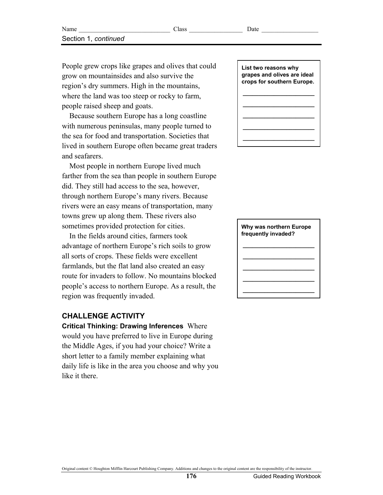People grew crops like grapes and olives that could grow on mountainsides and also survive the region's dry summers. High in the mountains, where the land was too steep or rocky to farm, people raised sheep and goats.

Because southern Europe has a long coastline with numerous peninsulas, many people turned to the sea for food and transportation. Societies that lived in southern Europe often became great traders and seafarers.

Most people in northern Europe lived much farther from the sea than people in southern Europe did. They still had access to the sea, however, through northern Europe's many rivers. Because rivers were an easy means of transportation, many towns grew up along them. These rivers also sometimes provided protection for cities.

In the fields around cities, farmers took advantage of northern Europe's rich soils to grow all sorts of crops. These fields were excellent farmlands, but the flat land also created an easy route for invaders to follow. No mountains blocked people's access to northern Europe. As a result, the region was frequently invaded.

## **CHALLENGE ACTIVITY**

**Critical Thinking: Drawing Inferences** Where would you have preferred to live in Europe during the Middle Ages, if you had your choice? Write a short letter to a family member explaining what daily life is like in the area you choose and why you like it there.



#### **Why was northern Europe frequently invaded?**

# **\_\_\_\_\_\_\_\_\_\_\_\_\_\_\_\_\_\_\_\_\_\_\_ \_\_\_\_\_\_\_\_\_\_\_\_\_\_\_\_\_\_\_\_\_\_\_ \_\_\_\_\_\_\_\_\_\_\_\_\_\_\_\_\_\_\_\_\_\_\_ \_\_\_\_\_\_\_\_\_\_\_\_\_\_\_\_\_\_\_\_\_\_\_ \_\_\_\_\_\_\_\_\_\_\_\_\_\_\_\_\_\_\_\_\_\_\_**

Original content © Houghton Mifflin Harcourt Publishing Company. Additions and changes to the original content are the responsibility of the instructor.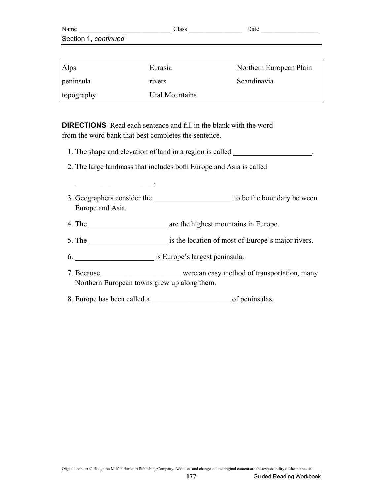| Name                 | Class | Date |
|----------------------|-------|------|
| Section 1, continued |       |      |
|                      |       |      |

| <b>Alps</b> | Eurasia        | Northern European Plain |
|-------------|----------------|-------------------------|
| peninsula   | rivers         | Scandinavia             |
| topography  | Ural Mountains |                         |

**DIRECTIONS** Read each sentence and fill in the blank with the word from the word bank that best completes the sentence.

- 1. The shape and elevation of land in a region is called  $\blacksquare$
- 2. The large landmass that includes both Europe and Asia is called
- 3. Geographers consider the the to be the boundary between Europe and Asia.
- 4. The are the highest mountains in Europe.
- 5. The same is the location of most of Europe's major rivers.

6. \_\_\_\_\_\_\_\_\_\_\_\_\_\_\_\_\_\_\_\_\_ is Europe's largest peninsula.

 $\mathcal{L}_\text{max}$  and  $\mathcal{L}_\text{max}$  and  $\mathcal{L}_\text{max}$ 

- 7. Because were an easy method of transportation, many Northern European towns grew up along them.
- 8. Europe has been called a  $\qquad \qquad$  of peninsulas.